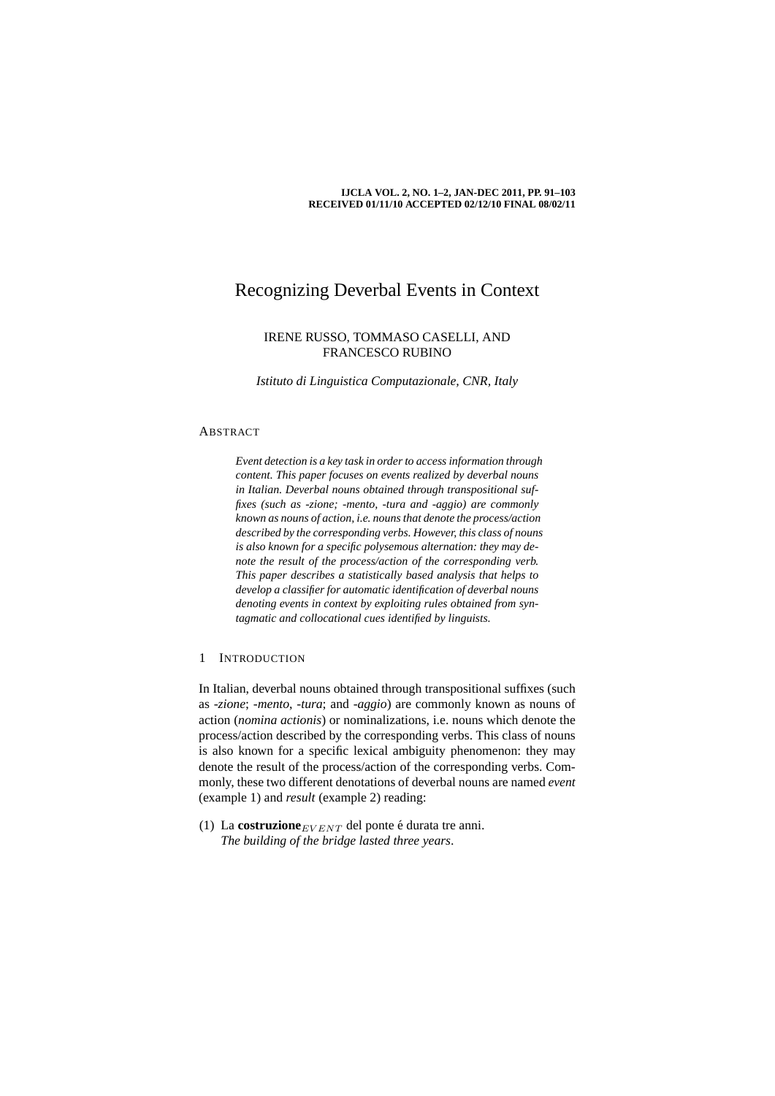#### **IJCLA VOL. 2, NO. 1–2, JAN-DEC 2011, PP. 91–103 RECEIVED 01/11/10 ACCEPTED 02/12/10 FINAL 08/02/11**

## Recognizing Deverbal Events in Context

## IRENE RUSSO, TOMMASO CASELLI, AND FRANCESCO RUBINO

*Istituto di Linguistica Computazionale, CNR, Italy*

## ABSTRACT

*Event detection is a key task in order to access information through content. This paper focuses on events realized by deverbal nouns in Italian. Deverbal nouns obtained through transpositional suffixes (such as -zione; -mento, -tura and -aggio) are commonly known as nouns of action, i.e. nouns that denote the process/action described by the corresponding verbs. However, this class of nouns is also known for a specific polysemous alternation: they may denote the result of the process/action of the corresponding verb. This paper describes a statistically based analysis that helps to develop a classifier for automatic identification of deverbal nouns denoting events in context by exploiting rules obtained from syntagmatic and collocational cues identified by linguists.*

#### 1 INTRODUCTION

In Italian, deverbal nouns obtained through transpositional suffixes (such as -*zione*; -*mento*, -*tura*; and -*aggio*) are commonly known as nouns of action (*nomina actionis*) or nominalizations, i.e. nouns which denote the process/action described by the corresponding verbs. This class of nouns is also known for a specific lexical ambiguity phenomenon: they may denote the result of the process/action of the corresponding verbs. Commonly, these two different denotations of deverbal nouns are named *event* (example 1) and *result* (example 2) reading:

(1) La **costruzione** $E_{VENT}$  del ponte é durata tre anni. *The building of the bridge lasted three years*.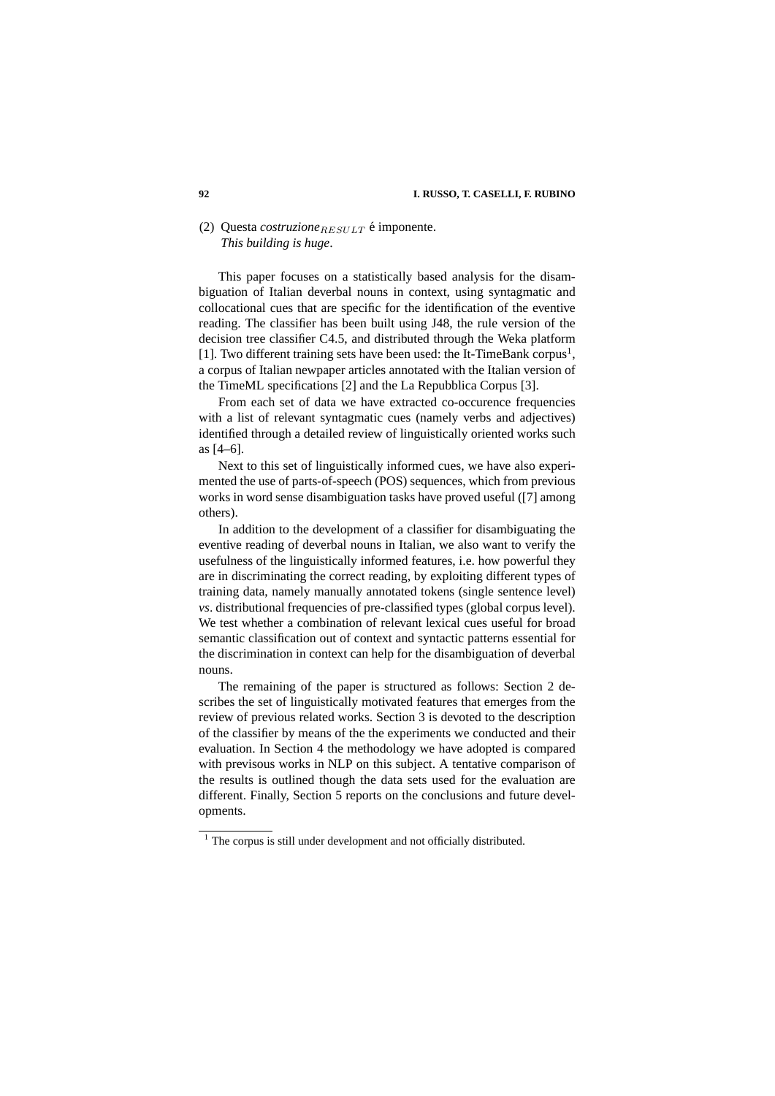## (2) Questa *costruzione*  $RESILLT$  é imponente. *This building is huge*.

This paper focuses on a statistically based analysis for the disambiguation of Italian deverbal nouns in context, using syntagmatic and collocational cues that are specific for the identification of the eventive reading. The classifier has been built using J48, the rule version of the decision tree classifier C4.5, and distributed through the Weka platform [1]. Two different training sets have been used: the It-TimeBank corpus<sup>1</sup>, a corpus of Italian newpaper articles annotated with the Italian version of the TimeML specifications [2] and the La Repubblica Corpus [3].

From each set of data we have extracted co-occurence frequencies with a list of relevant syntagmatic cues (namely verbs and adjectives) identified through a detailed review of linguistically oriented works such as [4–6].

Next to this set of linguistically informed cues, we have also experimented the use of parts-of-speech (POS) sequences, which from previous works in word sense disambiguation tasks have proved useful ([7] among others).

In addition to the development of a classifier for disambiguating the eventive reading of deverbal nouns in Italian, we also want to verify the usefulness of the linguistically informed features, i.e. how powerful they are in discriminating the correct reading, by exploiting different types of training data, namely manually annotated tokens (single sentence level) *vs*. distributional frequencies of pre-classified types (global corpus level). We test whether a combination of relevant lexical cues useful for broad semantic classification out of context and syntactic patterns essential for the discrimination in context can help for the disambiguation of deverbal nouns.

The remaining of the paper is structured as follows: Section 2 describes the set of linguistically motivated features that emerges from the review of previous related works. Section 3 is devoted to the description of the classifier by means of the the experiments we conducted and their evaluation. In Section 4 the methodology we have adopted is compared with previsous works in NLP on this subject. A tentative comparison of the results is outlined though the data sets used for the evaluation are different. Finally, Section 5 reports on the conclusions and future developments.

 $1$  The corpus is still under development and not officially distributed.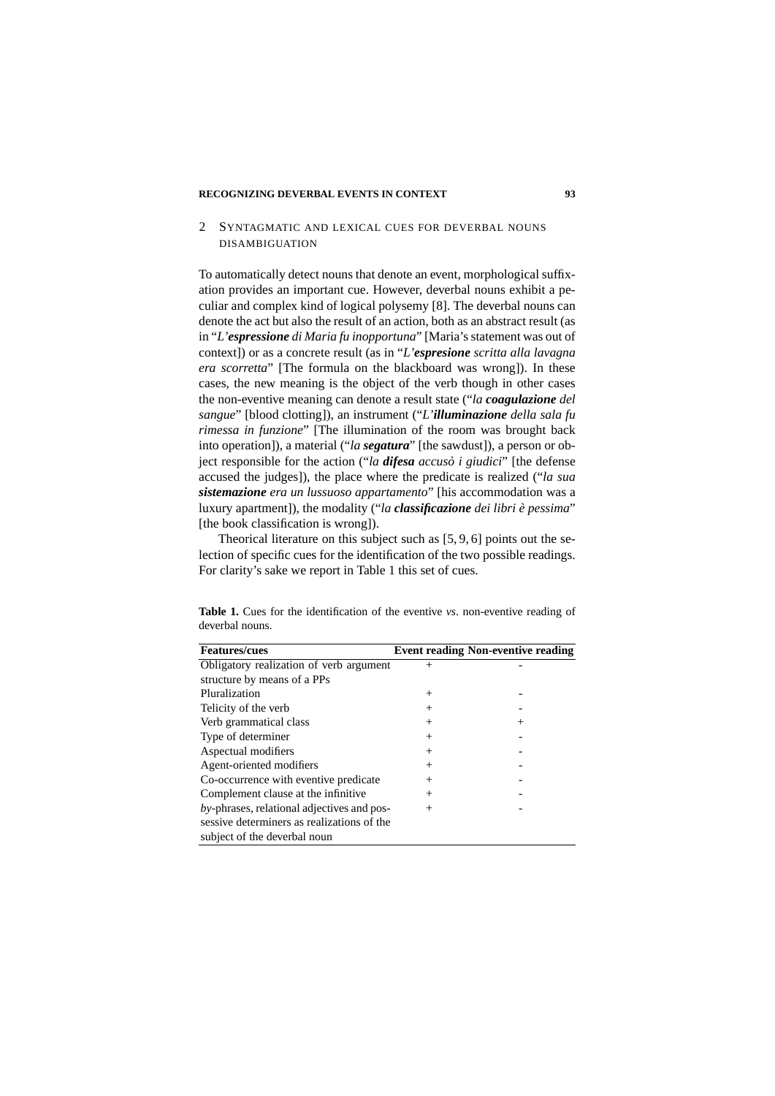### 2 SYNTAGMATIC AND LEXICAL CUES FOR DEVERBAL NOUNS DISAMBIGUATION

To automatically detect nouns that denote an event, morphological suffixation provides an important cue. However, deverbal nouns exhibit a peculiar and complex kind of logical polysemy [8]. The deverbal nouns can denote the act but also the result of an action, both as an abstract result (as in "*L'espressione di Maria fu inopportuna*" [Maria's statement was out of context]) or as a concrete result (as in "*L'espresione scritta alla lavagna era scorretta*" [The formula on the blackboard was wrong]). In these cases, the new meaning is the object of the verb though in other cases the non-eventive meaning can denote a result state ("*la coagulazione del sangue*" [blood clotting]), an instrument ("*L'illuminazione della sala fu rimessa in funzione*" [The illumination of the room was brought back into operation]), a material ("*la segatura*" [the sawdust]), a person or object responsible for the action ("*la difesa accusò i giudici*" [the defense accused the judges]), the place where the predicate is realized ("*la sua sistemazione era un lussuoso appartamento*" [his accommodation was a luxury apartment]), the modality ("*la classificazione dei libri e pessima `* " [the book classification is wrong]).

Theorical literature on this subject such as [5, 9, 6] points out the selection of specific cues for the identification of the two possible readings. For clarity's sake we report in Table 1 this set of cues.

| <b>Features/cues</b>                          |        | <b>Event reading Non-eventive reading</b> |
|-----------------------------------------------|--------|-------------------------------------------|
| Obligatory realization of verb argument       | $^{+}$ |                                           |
| structure by means of a PPs                   |        |                                           |
| Pluralization                                 | $^+$   |                                           |
| Telicity of the verb                          | $^+$   |                                           |
| Verb grammatical class                        | $^{+}$ | $^+$                                      |
| Type of determiner                            | $^{+}$ |                                           |
| Aspectual modifiers                           | $^{+}$ |                                           |
| Agent-oriented modifiers                      | $^{+}$ |                                           |
| Co-occurrence with eventive predicate         | $^{+}$ |                                           |
| Complement clause at the infinitive           | $^{+}$ |                                           |
| $by$ -phrases, relational adjectives and pos- | $^{+}$ |                                           |
| sessive determiners as realizations of the    |        |                                           |
| subject of the deverbal noun                  |        |                                           |

**Table 1.** Cues for the identification of the eventive *vs*. non-eventive reading of deverbal nouns.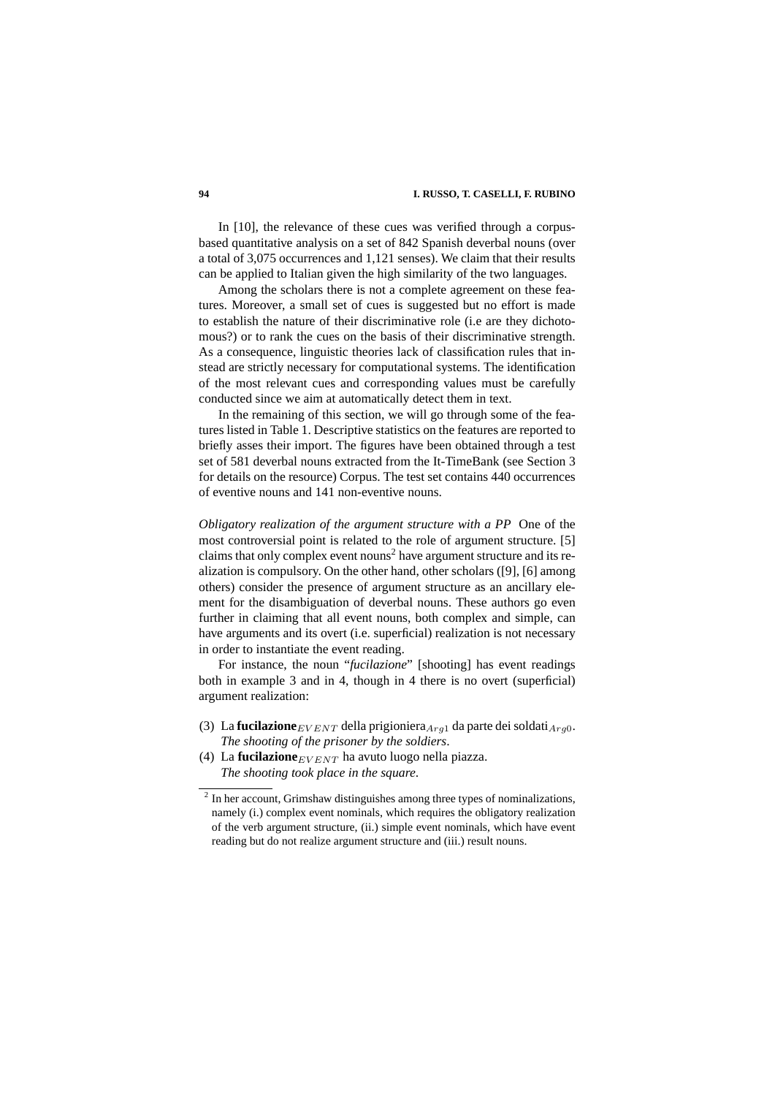#### **94 I. RUSSO, T. CASELLI, F. RUBINO**

In [10], the relevance of these cues was verified through a corpusbased quantitative analysis on a set of 842 Spanish deverbal nouns (over a total of 3,075 occurrences and 1,121 senses). We claim that their results can be applied to Italian given the high similarity of the two languages.

Among the scholars there is not a complete agreement on these features. Moreover, a small set of cues is suggested but no effort is made to establish the nature of their discriminative role (i.e are they dichotomous?) or to rank the cues on the basis of their discriminative strength. As a consequence, linguistic theories lack of classification rules that instead are strictly necessary for computational systems. The identification of the most relevant cues and corresponding values must be carefully conducted since we aim at automatically detect them in text.

In the remaining of this section, we will go through some of the features listed in Table 1. Descriptive statistics on the features are reported to briefly asses their import. The figures have been obtained through a test set of 581 deverbal nouns extracted from the It-TimeBank (see Section 3 for details on the resource) Corpus. The test set contains 440 occurrences of eventive nouns and 141 non-eventive nouns.

*Obligatory realization of the argument structure with a PP* One of the most controversial point is related to the role of argument structure. [5] claims that only complex event nouns<sup>2</sup> have argument structure and its realization is compulsory. On the other hand, other scholars ([9], [6] among others) consider the presence of argument structure as an ancillary element for the disambiguation of deverbal nouns. These authors go even further in claiming that all event nouns, both complex and simple, can have arguments and its overt (i.e. superficial) realization is not necessary in order to instantiate the event reading.

For instance, the noun "*fucilazione*" [shooting] has event readings both in example 3 and in 4, though in 4 there is no overt (superficial) argument realization:

- (3) La **fucilazione**  $E_{VENT}$  della prigioniera  $A_{rq1}$  da parte dei soldati $A_{rq0}$ . *The shooting of the prisoner by the soldiers*.
- (4) La **fucilazione** $EVENT$  ha avuto luogo nella piazza. *The shooting took place in the square*.

 $2$  In her account, Grimshaw distinguishes among three types of nominalizations, namely (i.) complex event nominals, which requires the obligatory realization of the verb argument structure, (ii.) simple event nominals, which have event reading but do not realize argument structure and (iii.) result nouns.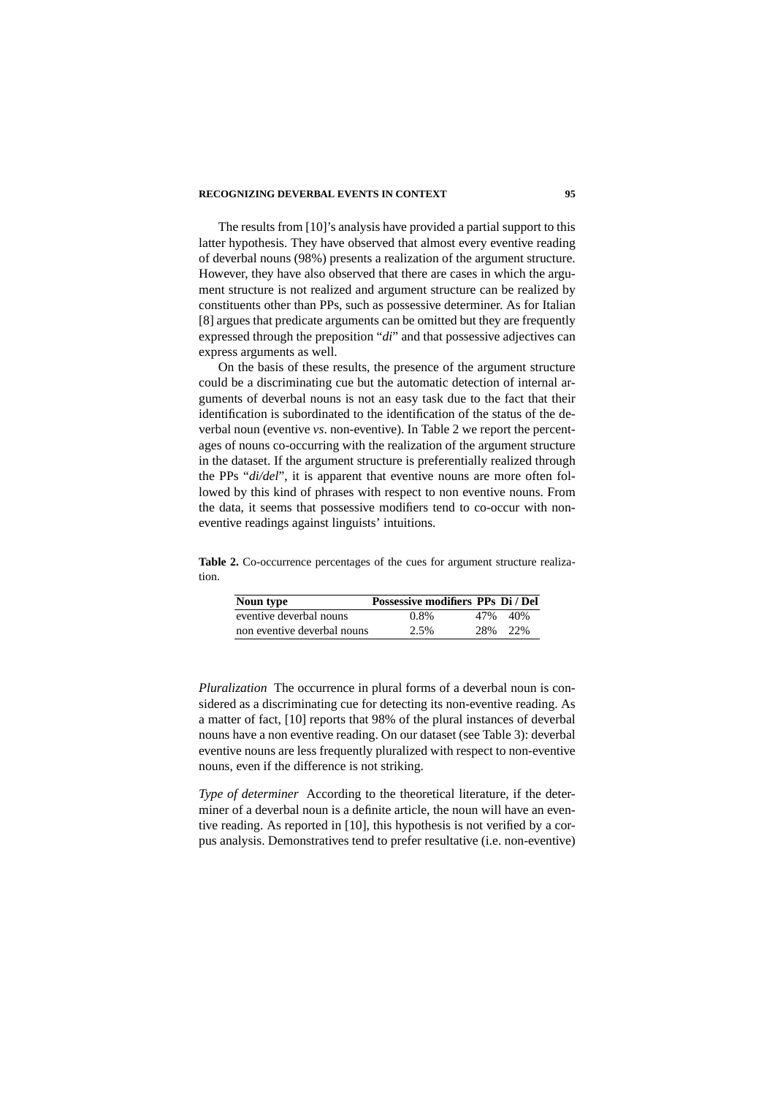The results from [10]'s analysis have provided a partial support to this latter hypothesis. They have observed that almost every eventive reading of deverbal nouns (98%) presents a realization of the argument structure. However, they have also observed that there are cases in which the argument structure is not realized and argument structure can be realized by constituents other than PPs, such as possessive determiner. As for Italian [8] argues that predicate arguments can be omitted but they are frequently expressed through the preposition "*di*" and that possessive adjectives can express arguments as well.

On the basis of these results, the presence of the argument structure could be a discriminating cue but the automatic detection of internal arguments of deverbal nouns is not an easy task due to the fact that their identification is subordinated to the identification of the status of the deverbal noun (eventive *vs*. non-eventive). In Table 2 we report the percentages of nouns co-occurring with the realization of the argument structure in the dataset. If the argument structure is preferentially realized through the PPs "*di/del*", it is apparent that eventive nouns are more often followed by this kind of phrases with respect to non eventive nouns. From the data, it seems that possessive modifiers tend to co-occur with noneventive readings against linguists' intuitions.

**Table 2.** Co-occurrence percentages of the cues for argument structure realization.

| Noun type                   | Possessive modifiers PPs Di / Del |      |       |
|-----------------------------|-----------------------------------|------|-------|
| eventive deverbal nouns     | $0.8\%$                           | 47%  | 40%   |
| non eventive deverbal nouns | 2.5%                              | 2.8% | - 22% |

*Pluralization* The occurrence in plural forms of a deverbal noun is considered as a discriminating cue for detecting its non-eventive reading. As a matter of fact, [10] reports that 98% of the plural instances of deverbal nouns have a non eventive reading. On our dataset (see Table 3): deverbal eventive nouns are less frequently pluralized with respect to non-eventive nouns, even if the difference is not striking.

*Type of determiner* According to the theoretical literature, if the determiner of a deverbal noun is a definite article, the noun will have an eventive reading. As reported in [10], this hypothesis is not verified by a corpus analysis. Demonstratives tend to prefer resultative (i.e. non-eventive)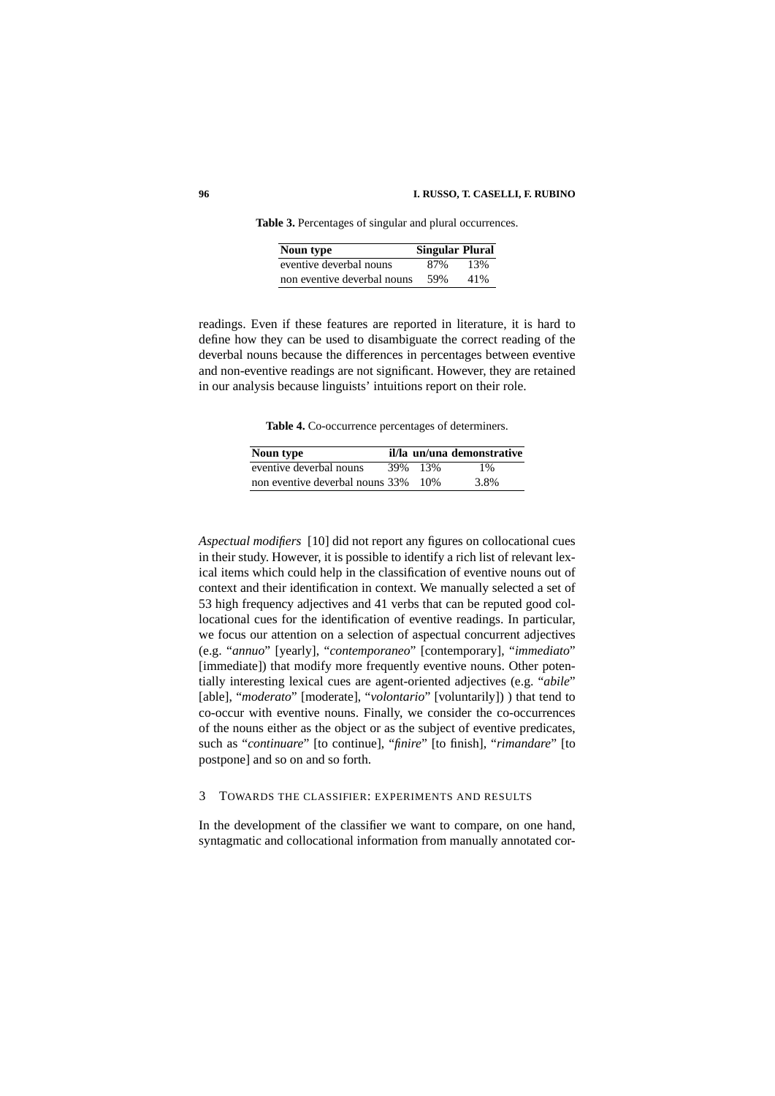**Table 3.** Percentages of singular and plural occurrences.

| Noun type                   | <b>Singular Plural</b> |     |
|-----------------------------|------------------------|-----|
| eventive deverbal nouns     | 87%                    | 13% |
| non eventive deverbal nouns | 59%                    | 41% |

readings. Even if these features are reported in literature, it is hard to define how they can be used to disambiguate the correct reading of the deverbal nouns because the differences in percentages between eventive and non-eventive readings are not significant. However, they are retained in our analysis because linguists' intuitions report on their role.

**Table 4.** Co-occurrence percentages of determiners.

| Noun type                       |         | il/la un/una demonstrative |
|---------------------------------|---------|----------------------------|
| eventive deverbal nouns         | 39% 13% | $1\%$                      |
| non eventive deverbal nouns 33% | -10%    | 3.8%                       |

*Aspectual modifiers* [10] did not report any figures on collocational cues in their study. However, it is possible to identify a rich list of relevant lexical items which could help in the classification of eventive nouns out of context and their identification in context. We manually selected a set of 53 high frequency adjectives and 41 verbs that can be reputed good collocational cues for the identification of eventive readings. In particular, we focus our attention on a selection of aspectual concurrent adjectives (e.g. "*annuo*" [yearly], "*contemporaneo*" [contemporary], "*immediato*" [immediate]) that modify more frequently eventive nouns. Other potentially interesting lexical cues are agent-oriented adjectives (e.g. "*abile*" [able], "*moderato*" [moderate], "*volontario*" [voluntarily]) ) that tend to co-occur with eventive nouns. Finally, we consider the co-occurrences of the nouns either as the object or as the subject of eventive predicates, such as "*continuare*" [to continue], "*finire*" [to finish], "*rimandare*" [to postpone] and so on and so forth.

#### 3 TOWARDS THE CLASSIFIER: EXPERIMENTS AND RESULTS

In the development of the classifier we want to compare, on one hand, syntagmatic and collocational information from manually annotated cor-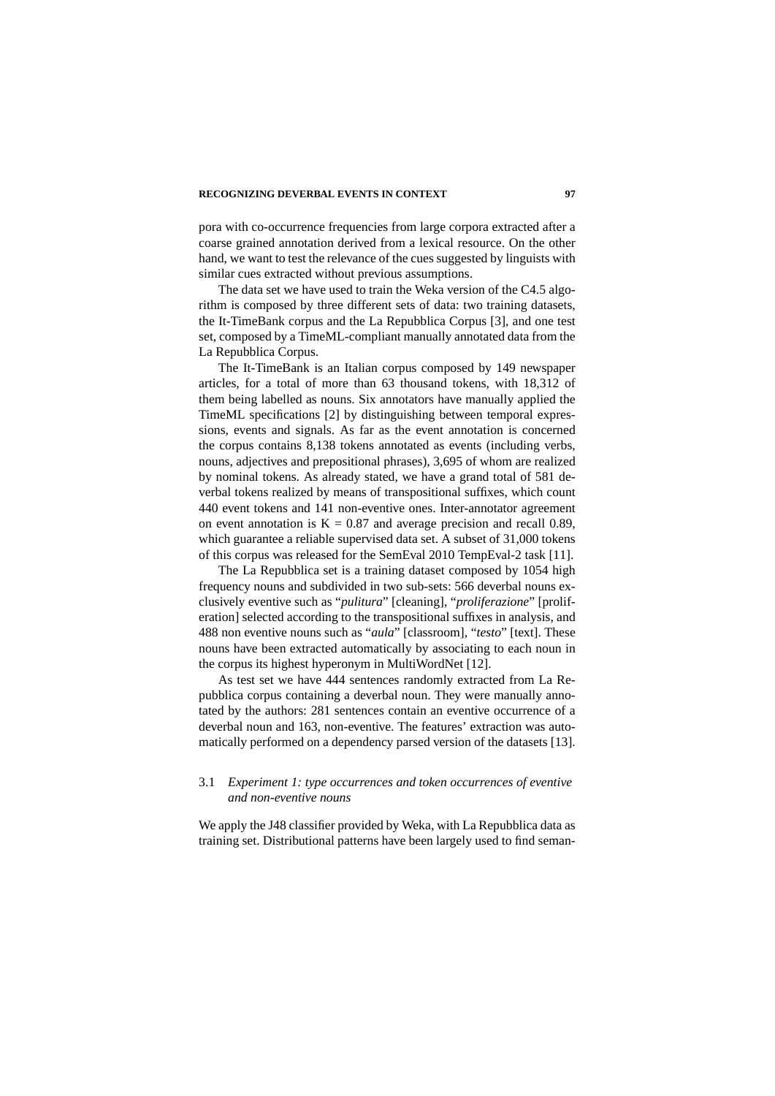pora with co-occurrence frequencies from large corpora extracted after a coarse grained annotation derived from a lexical resource. On the other hand, we want to test the relevance of the cues suggested by linguists with similar cues extracted without previous assumptions.

The data set we have used to train the Weka version of the C4.5 algorithm is composed by three different sets of data: two training datasets, the It-TimeBank corpus and the La Repubblica Corpus [3], and one test set, composed by a TimeML-compliant manually annotated data from the La Repubblica Corpus.

The It-TimeBank is an Italian corpus composed by 149 newspaper articles, for a total of more than 63 thousand tokens, with 18,312 of them being labelled as nouns. Six annotators have manually applied the TimeML specifications [2] by distinguishing between temporal expressions, events and signals. As far as the event annotation is concerned the corpus contains 8,138 tokens annotated as events (including verbs, nouns, adjectives and prepositional phrases), 3,695 of whom are realized by nominal tokens. As already stated, we have a grand total of 581 deverbal tokens realized by means of transpositional suffixes, which count 440 event tokens and 141 non-eventive ones. Inter-annotator agreement on event annotation is  $K = 0.87$  and average precision and recall 0.89, which guarantee a reliable supervised data set. A subset of 31,000 tokens of this corpus was released for the SemEval 2010 TempEval-2 task [11].

The La Repubblica set is a training dataset composed by 1054 high frequency nouns and subdivided in two sub-sets: 566 deverbal nouns exclusively eventive such as "*pulitura*" [cleaning], "*proliferazione*" [proliferation] selected according to the transpositional suffixes in analysis, and 488 non eventive nouns such as "*aula*" [classroom], "*testo*" [text]. These nouns have been extracted automatically by associating to each noun in the corpus its highest hyperonym in MultiWordNet [12].

As test set we have 444 sentences randomly extracted from La Repubblica corpus containing a deverbal noun. They were manually annotated by the authors: 281 sentences contain an eventive occurrence of a deverbal noun and 163, non-eventive. The features' extraction was automatically performed on a dependency parsed version of the datasets [13].

## 3.1 *Experiment 1: type occurrences and token occurrences of eventive and non-eventive nouns*

We apply the J48 classifier provided by Weka, with La Repubblica data as training set. Distributional patterns have been largely used to find seman-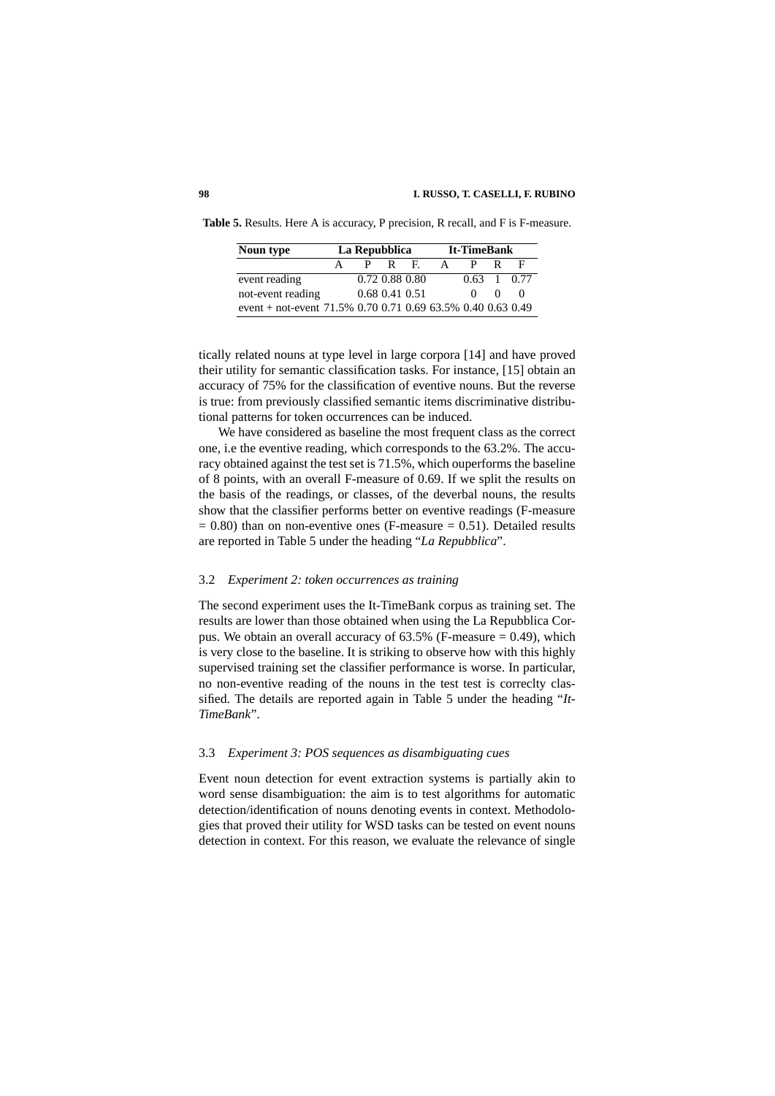| Noun type                                                   | La Repubblica |                |       | <b>It-TimeBank</b> |   |                           |            |          |
|-------------------------------------------------------------|---------------|----------------|-------|--------------------|---|---------------------------|------------|----------|
|                                                             |               |                | P R F |                    | A |                           |            | E        |
| event reading                                               |               |                |       | 0.72 0.88 0.80     |   | $0.63 \quad 1 \quad 0.77$ |            |          |
| not-event reading                                           |               | 0.68 0.41 0.51 |       |                    |   | $^{\circ}$                | $^{\circ}$ | $\Omega$ |
| event + not-event 71.5% 0.70 0.71 0.69 63.5% 0.40 0.63 0.49 |               |                |       |                    |   |                           |            |          |

**Table 5.** Results. Here A is accuracy, P precision, R recall, and F is F-measure.

tically related nouns at type level in large corpora [14] and have proved their utility for semantic classification tasks. For instance, [15] obtain an accuracy of 75% for the classification of eventive nouns. But the reverse is true: from previously classified semantic items discriminative distributional patterns for token occurrences can be induced.

We have considered as baseline the most frequent class as the correct one, i.e the eventive reading, which corresponds to the 63.2%. The accuracy obtained against the test set is 71.5%, which ouperforms the baseline of 8 points, with an overall F-measure of 0.69. If we split the results on the basis of the readings, or classes, of the deverbal nouns, the results show that the classifier performs better on eventive readings (F-measure  $= 0.80$ ) than on non-eventive ones (F-measure  $= 0.51$ ). Detailed results are reported in Table 5 under the heading "*La Repubblica*".

#### 3.2 *Experiment 2: token occurrences as training*

The second experiment uses the It-TimeBank corpus as training set. The results are lower than those obtained when using the La Repubblica Corpus. We obtain an overall accuracy of  $63.5\%$  (F-measure = 0.49), which is very close to the baseline. It is striking to observe how with this highly supervised training set the classifier performance is worse. In particular, no non-eventive reading of the nouns in the test test is correclty classified. The details are reported again in Table 5 under the heading "*It-TimeBank*".

#### 3.3 *Experiment 3: POS sequences as disambiguating cues*

Event noun detection for event extraction systems is partially akin to word sense disambiguation: the aim is to test algorithms for automatic detection/identification of nouns denoting events in context. Methodologies that proved their utility for WSD tasks can be tested on event nouns detection in context. For this reason, we evaluate the relevance of single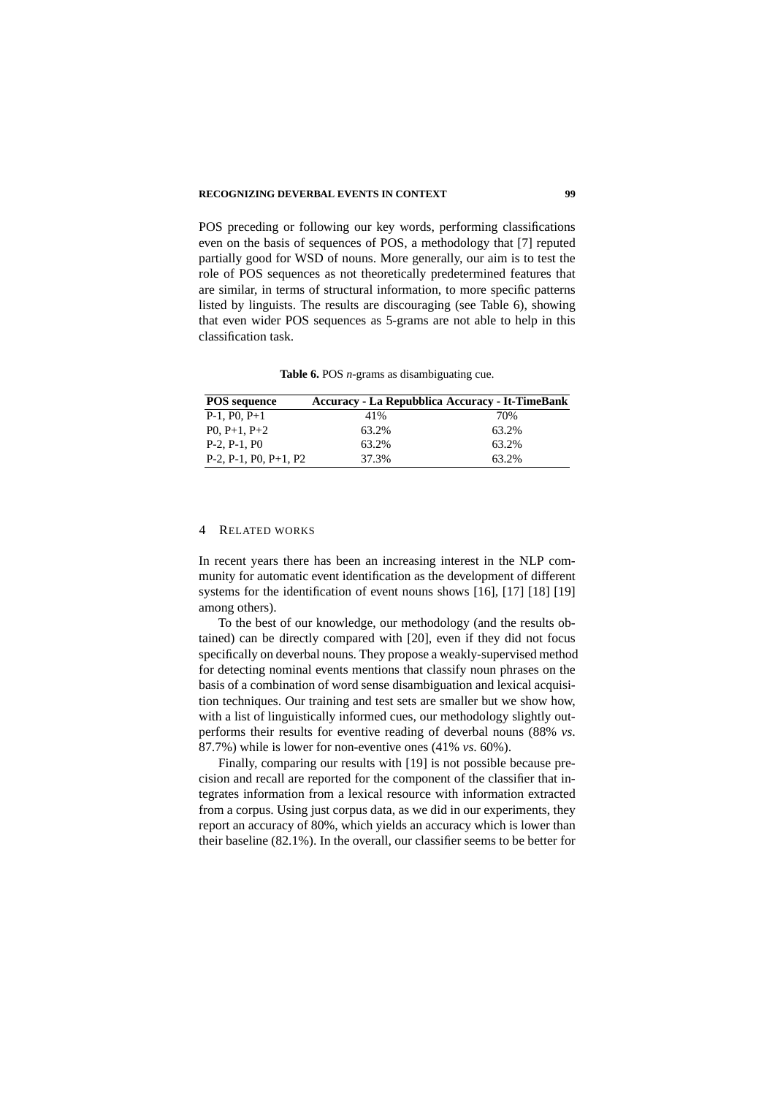POS preceding or following our key words, performing classifications even on the basis of sequences of POS, a methodology that [7] reputed partially good for WSD of nouns. More generally, our aim is to test the role of POS sequences as not theoretically predetermined features that are similar, in terms of structural information, to more specific patterns listed by linguists. The results are discouraging (see Table 6), showing that even wider POS sequences as 5-grams are not able to help in this classification task.

**Table 6.** POS *n*-grams as disambiguating cue.

| <b>POS</b> sequence         | <b>Accuracy - La Repubblica Accuracy - It-TimeBank</b> |       |
|-----------------------------|--------------------------------------------------------|-------|
| $P-1$ , $P0$ , $P+1$        | 41%                                                    | 70%   |
| $P_0$ , $P_{+1}$ , $P_{+2}$ | 63.2%                                                  | 63.2% |
| $P-2, P-1, P0$              | 63.2%                                                  | 63.2% |
| $P-2, P-1, P0, P+1, P2$     | 37.3%                                                  | 63.2% |

#### 4 RELATED WORKS

In recent years there has been an increasing interest in the NLP community for automatic event identification as the development of different systems for the identification of event nouns shows [16], [17] [18] [19] among others).

To the best of our knowledge, our methodology (and the results obtained) can be directly compared with [20], even if they did not focus specifically on deverbal nouns. They propose a weakly-supervised method for detecting nominal events mentions that classify noun phrases on the basis of a combination of word sense disambiguation and lexical acquisition techniques. Our training and test sets are smaller but we show how, with a list of linguistically informed cues, our methodology slightly outperforms their results for eventive reading of deverbal nouns (88% *vs*. 87.7%) while is lower for non-eventive ones (41% *vs*. 60%).

Finally, comparing our results with [19] is not possible because precision and recall are reported for the component of the classifier that integrates information from a lexical resource with information extracted from a corpus. Using just corpus data, as we did in our experiments, they report an accuracy of 80%, which yields an accuracy which is lower than their baseline (82.1%). In the overall, our classifier seems to be better for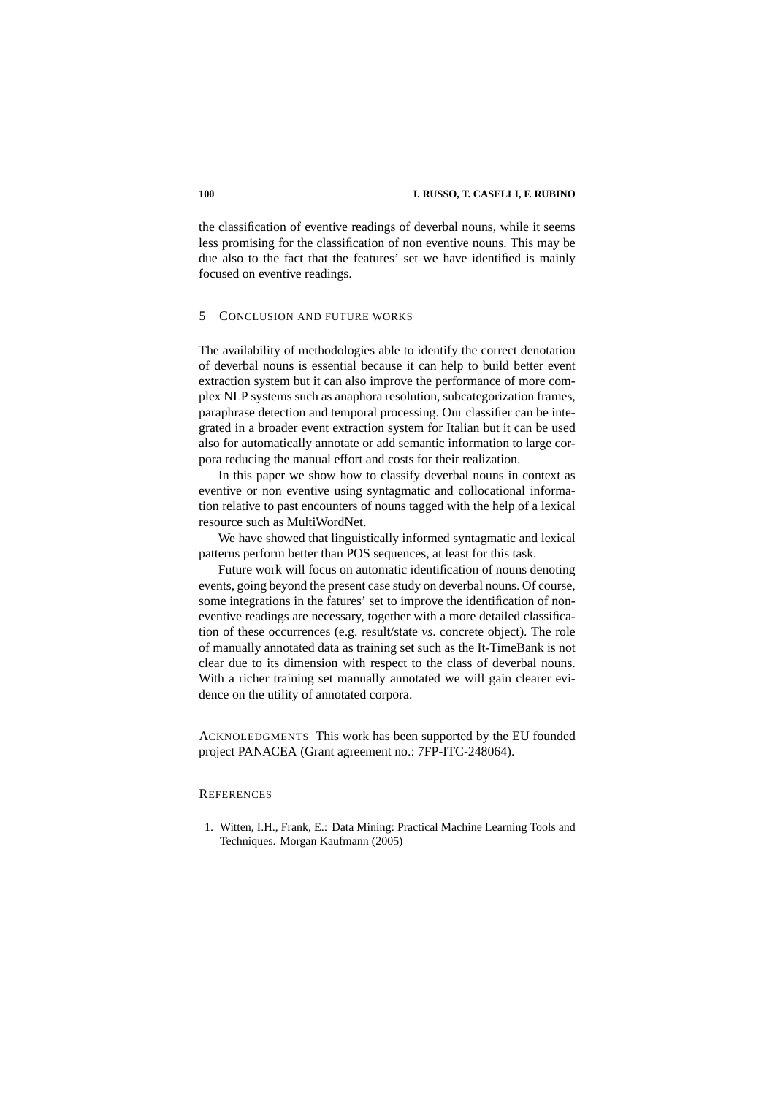the classification of eventive readings of deverbal nouns, while it seems less promising for the classification of non eventive nouns. This may be due also to the fact that the features' set we have identified is mainly focused on eventive readings.

#### 5 CONCLUSION AND FUTURE WORKS

The availability of methodologies able to identify the correct denotation of deverbal nouns is essential because it can help to build better event extraction system but it can also improve the performance of more complex NLP systems such as anaphora resolution, subcategorization frames, paraphrase detection and temporal processing. Our classifier can be integrated in a broader event extraction system for Italian but it can be used also for automatically annotate or add semantic information to large corpora reducing the manual effort and costs for their realization.

In this paper we show how to classify deverbal nouns in context as eventive or non eventive using syntagmatic and collocational information relative to past encounters of nouns tagged with the help of a lexical resource such as MultiWordNet.

We have showed that linguistically informed syntagmatic and lexical patterns perform better than POS sequences, at least for this task.

Future work will focus on automatic identification of nouns denoting events, going beyond the present case study on deverbal nouns. Of course, some integrations in the fatures' set to improve the identification of noneventive readings are necessary, together with a more detailed classification of these occurrences (e.g. result/state *vs*. concrete object). The role of manually annotated data as training set such as the It-TimeBank is not clear due to its dimension with respect to the class of deverbal nouns. With a richer training set manually annotated we will gain clearer evidence on the utility of annotated corpora.

ACKNOLEDGMENTS This work has been supported by the EU founded project PANACEA (Grant agreement no.: 7FP-ITC-248064).

## **REFERENCES**

1. Witten, I.H., Frank, E.: Data Mining: Practical Machine Learning Tools and Techniques. Morgan Kaufmann (2005)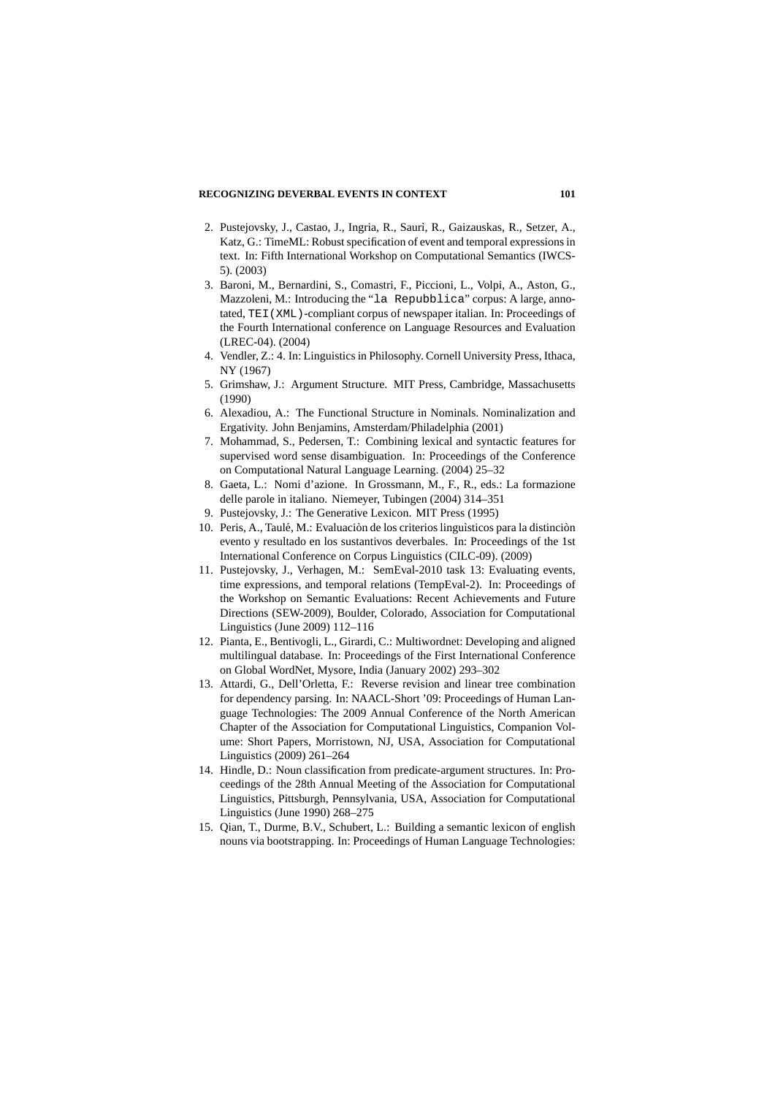- 2. Pustejovsky, J., Castao, J., Ingria, R., Saurì, R., Gaizauskas, R., Setzer, A., Katz, G.: TimeML: Robust specification of event and temporal expressions in text. In: Fifth International Workshop on Computational Semantics (IWCS-5). (2003)
- 3. Baroni, M., Bernardini, S., Comastri, F., Piccioni, L., Volpi, A., Aston, G., Mazzoleni, M.: Introducing the "la Repubblica" corpus: A large, annotated, TEI(XML)-compliant corpus of newspaper italian. In: Proceedings of the Fourth International conference on Language Resources and Evaluation (LREC-04). (2004)
- 4. Vendler, Z.: 4. In: Linguistics in Philosophy. Cornell University Press, Ithaca, NY (1967)
- 5. Grimshaw, J.: Argument Structure. MIT Press, Cambridge, Massachusetts (1990)
- 6. Alexadiou, A.: The Functional Structure in Nominals. Nominalization and Ergativity. John Benjamins, Amsterdam/Philadelphia (2001)
- 7. Mohammad, S., Pedersen, T.: Combining lexical and syntactic features for supervised word sense disambiguation. In: Proceedings of the Conference on Computational Natural Language Learning. (2004) 25–32
- 8. Gaeta, L.: Nomi d'azione. In Grossmann, M., F., R., eds.: La formazione delle parole in italiano. Niemeyer, Tubingen (2004) 314–351
- 9. Pustejovsky, J.: The Generative Lexicon. MIT Press (1995)
- 10. Peris, A., Taulé, M.: Evaluación de los criterios linguísticos para la distinción evento y resultado en los sustantivos deverbales. In: Proceedings of the 1st International Conference on Corpus Linguistics (CILC-09). (2009)
- 11. Pustejovsky, J., Verhagen, M.: SemEval-2010 task 13: Evaluating events, time expressions, and temporal relations (TempEval-2). In: Proceedings of the Workshop on Semantic Evaluations: Recent Achievements and Future Directions (SEW-2009), Boulder, Colorado, Association for Computational Linguistics (June 2009) 112–116
- 12. Pianta, E., Bentivogli, L., Girardi, C.: Multiwordnet: Developing and aligned multilingual database. In: Proceedings of the First International Conference on Global WordNet, Mysore, India (January 2002) 293–302
- 13. Attardi, G., Dell'Orletta, F.: Reverse revision and linear tree combination for dependency parsing. In: NAACL-Short '09: Proceedings of Human Language Technologies: The 2009 Annual Conference of the North American Chapter of the Association for Computational Linguistics, Companion Volume: Short Papers, Morristown, NJ, USA, Association for Computational Linguistics (2009) 261–264
- 14. Hindle, D.: Noun classification from predicate-argument structures. In: Proceedings of the 28th Annual Meeting of the Association for Computational Linguistics, Pittsburgh, Pennsylvania, USA, Association for Computational Linguistics (June 1990) 268–275
- 15. Qian, T., Durme, B.V., Schubert, L.: Building a semantic lexicon of english nouns via bootstrapping. In: Proceedings of Human Language Technologies: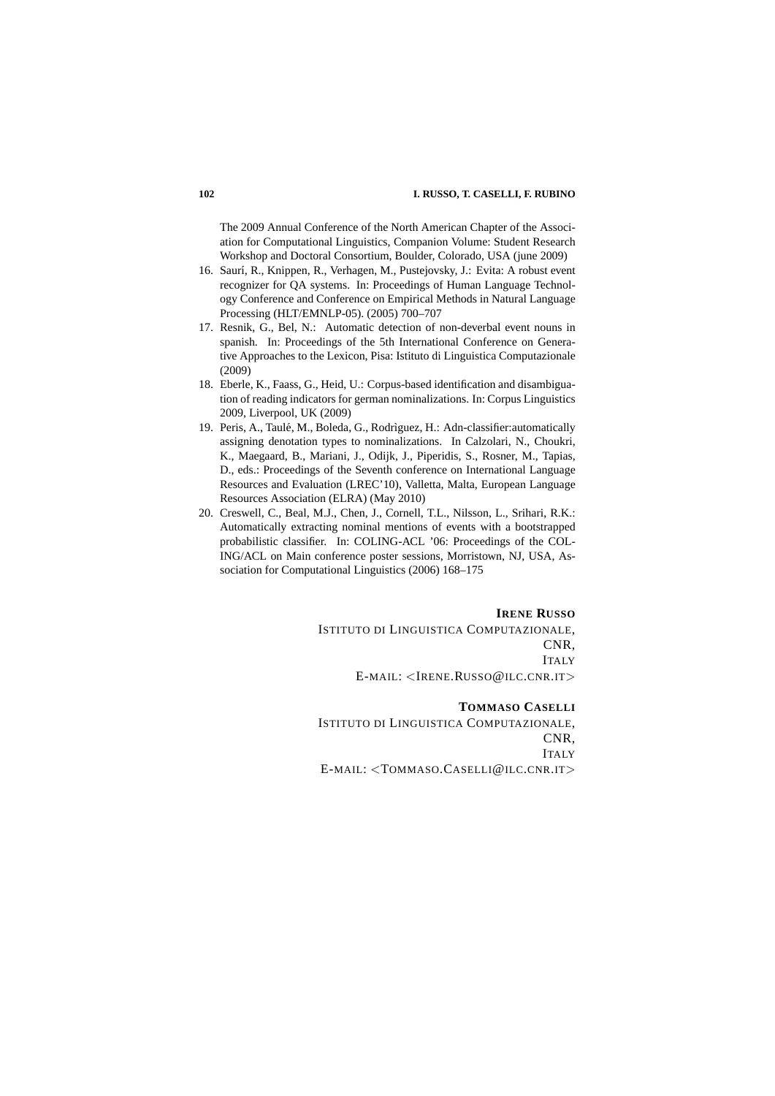The 2009 Annual Conference of the North American Chapter of the Association for Computational Linguistics, Companion Volume: Student Research Workshop and Doctoral Consortium, Boulder, Colorado, USA (june 2009)

- 16. Saurí, R., Knippen, R., Verhagen, M., Pustejovsky, J.: Evita: A robust event recognizer for QA systems. In: Proceedings of Human Language Technology Conference and Conference on Empirical Methods in Natural Language Processing (HLT/EMNLP-05). (2005) 700–707
- 17. Resnik, G., Bel, N.: Automatic detection of non-deverbal event nouns in spanish. In: Proceedings of the 5th International Conference on Generative Approaches to the Lexicon, Pisa: Istituto di Linguistica Computazionale (2009)
- 18. Eberle, K., Faass, G., Heid, U.: Corpus-based identification and disambiguation of reading indicators for german nominalizations. In: Corpus Linguistics 2009, Liverpool, UK (2009)
- 19. Peris, A., Taulé, M., Boleda, G., Rodrìguez, H.: Adn-classifier:automatically assigning denotation types to nominalizations. In Calzolari, N., Choukri, K., Maegaard, B., Mariani, J., Odijk, J., Piperidis, S., Rosner, M., Tapias, D., eds.: Proceedings of the Seventh conference on International Language Resources and Evaluation (LREC'10), Valletta, Malta, European Language Resources Association (ELRA) (May 2010)
- 20. Creswell, C., Beal, M.J., Chen, J., Cornell, T.L., Nilsson, L., Srihari, R.K.: Automatically extracting nominal mentions of events with a bootstrapped probabilistic classifier. In: COLING-ACL '06: Proceedings of the COL-ING/ACL on Main conference poster sessions, Morristown, NJ, USA, Association for Computational Linguistics (2006) 168–175

#### **IRENE RUSSO**

ISTITUTO DI LINGUISTICA COMPUTAZIONALE, CNR, ITALY E-MAIL: <IRENE.RUSSO@ILC.CNR.IT>

## **TOMMASO CASELLI**

ISTITUTO DI LINGUISTICA COMPUTAZIONALE, CNR, **ITALY** E-MAIL: <TOMMASO.CASELLI@ILC.CNR.IT>